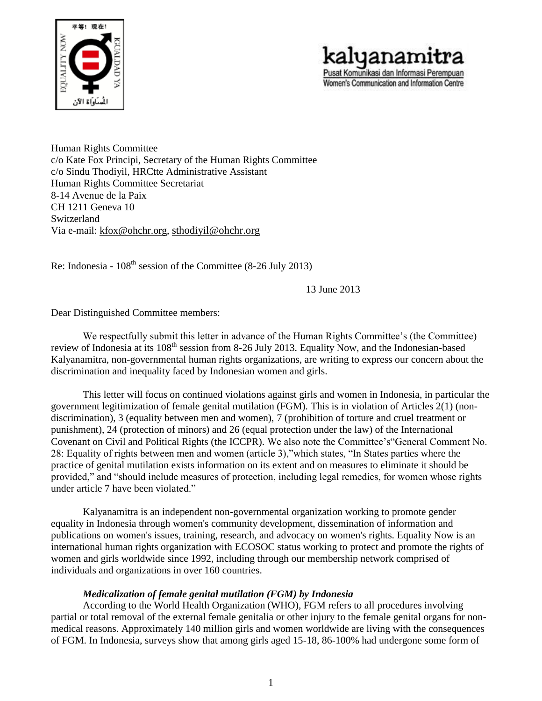



Human Rights Committee c/o Kate Fox Principi, Secretary of the Human Rights Committee c/o Sindu Thodiyil, HRCtte Administrative Assistant Human Rights Committee Secretariat 8-14 Avenue de la Paix CH 1211 Geneva 10 Switzerland Via e-mail: [kfox@ohchr.org,](mailto:kfox@ohchr.org) [sthodiyil@ohchr.org](mailto:sthodiyil@ohchr.org)

Re: Indonesia -  $108<sup>th</sup>$  session of the Committee (8-26 July 2013)

13 June 2013

Dear Distinguished Committee members:

We respectfully submit this letter in advance of the Human Rights Committee's (the Committee) review of Indonesia at its 108<sup>th</sup> session from 8-26 July 2013. Equality Now, and the Indonesian-based Kalyanamitra, non-governmental human rights organizations, are writing to express our concern about the discrimination and inequality faced by Indonesian women and girls.

This letter will focus on continued violations against girls and women in Indonesia, in particular the government legitimization of female genital mutilation (FGM). This is in violation of Articles 2(1) (nondiscrimination), 3 (equality between men and women), 7 (prohibition of torture and cruel treatment or punishment), 24 (protection of minors) and 26 (equal protection under the law) of the International Covenant on Civil and Political Rights (the ICCPR). We also note the Committee's"General Comment No. 28: Equality of rights between men and women (article 3),"which states, "In States parties where the practice of genital mutilation exists information on its extent and on measures to eliminate it should be provided," and "should include measures of protection, including legal remedies, for women whose rights under article 7 have been violated."

Kalyanamitra is an independent non-governmental organization working to promote gender equality in Indonesia through women's community development, dissemination of information and publications on women's issues, training, research, and advocacy on women's rights. Equality Now is an international human rights organization with ECOSOC status working to protect and promote the rights of women and girls worldwide since 1992, including through our membership network comprised of individuals and organizations in over 160 countries.

## *Medicalization of female genital mutilation (FGM) by Indonesia*

According to the World Health Organization (WHO), FGM refers to all procedures involving partial or total removal of the external female genitalia or other injury to the female genital organs for nonmedical reasons. Approximately 140 million girls and women worldwide are living with the consequences of FGM. In Indonesia, surveys show that among girls aged 15-18, 86-100% had undergone some form of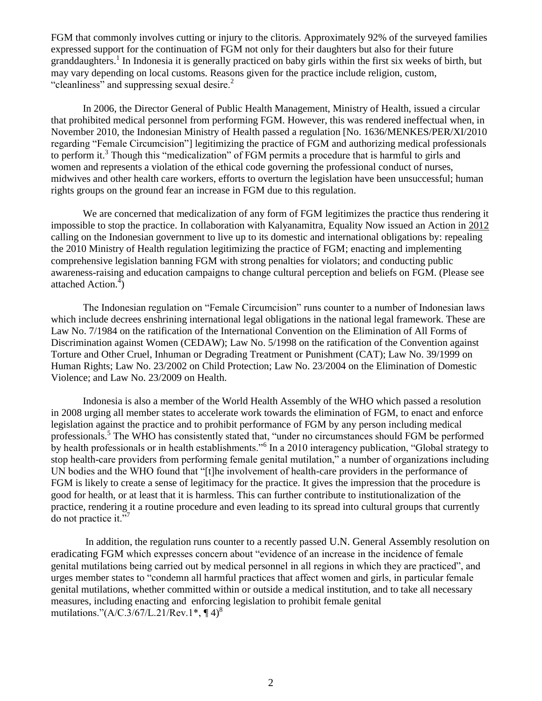FGM that commonly involves cutting or injury to the clitoris. Approximately 92% of the surveyed families expressed support for the continuation of FGM not only for their daughters but also for their future granddaughters.<sup>1</sup> In Indonesia it is generally practiced on baby girls within the first six weeks of birth, but may vary depending on local customs. Reasons given for the practice include religion, custom, "cleanliness" and suppressing sexual desire.<sup>2</sup>

In 2006, the Director General of Public Health Management, Ministry of Health, issued a circular that prohibited medical personnel from performing FGM. However, this was rendered ineffectual when, in November 2010, the Indonesian Ministry of Health passed a regulation [No. 1636/MENKES/PER/XI/2010 regarding "Female Circumcision"] legitimizing the practice of FGM and authorizing medical professionals to perform it.<sup>3</sup> Though this "medicalization" of FGM permits a procedure that is harmful to girls and women and represents a violation of the ethical code governing the professional conduct of nurses, midwives and other health care workers, efforts to overturn the legislation have been unsuccessful; human rights groups on the ground fear an increase in FGM due to this regulation.

We are concerned that medicalization of any form of FGM legitimizes the practice thus rendering it impossible to stop the practice. In collaboration with Kalyanamitra, Equality Now issued an Action in [2012](http://www.equalitynow.org/take_action/fgm_action431) calling on the Indonesian government to live up to its domestic and international obligations by: repealing the 2010 Ministry of Health regulation legitimizing the practice of FGM; enacting and implementing comprehensive legislation banning FGM with strong penalties for violators; and conducting public awareness-raising and education campaigns to change cultural perception and beliefs on FGM. (Please see attached Action.<sup>4</sup>)

The Indonesian regulation on "Female Circumcision" runs counter to a number of Indonesian laws which include decrees enshrining international legal obligations in the national legal framework. These are Law No. 7/1984 on the ratification of the International Convention on the Elimination of All Forms of Discrimination against Women (CEDAW); Law No. 5/1998 on the ratification of the Convention against Torture and Other Cruel, Inhuman or Degrading Treatment or Punishment (CAT); Law No. 39/1999 on Human Rights; Law No. 23/2002 on Child Protection; Law No. 23/2004 on the Elimination of Domestic Violence; and Law No. 23/2009 on Health.

Indonesia is also a member of the World Health Assembly of the WHO which passed a resolution in 2008 urging all member states to accelerate work towards the elimination of FGM, to enact and enforce legislation against the practice and to prohibit performance of FGM by any person including medical professionals.<sup>5</sup> The WHO has consistently stated that, "under no circumstances should FGM be performed by health professionals or in health establishments."<sup>6</sup> In a 2010 interagency publication, "Global strategy to stop health-care providers from performing female genital mutilation," a number of organizations including UN bodies and the WHO found that "[t]he involvement of health-care providers in the performance of FGM is likely to create a sense of legitimacy for the practice. It gives the impression that the procedure is good for health, or at least that it is harmless. This can further contribute to institutionalization of the practice, rendering it a routine procedure and even leading to its spread into cultural groups that currently do not practice it."<sup>7</sup>

In addition, the regulation runs counter to a recently passed U.N. General Assembly resolution on eradicating FGM which expresses concern about "evidence of an increase in the incidence of female genital mutilations being carried out by medical personnel in all regions in which they are practiced", and urges member states to "condemn all harmful practices that affect women and girls, in particular female genital mutilations, whether committed within or outside a medical institution, and to take all necessary measures, including enacting and enforcing legislation to prohibit female genital mutilations."( $A/C.3/67/L.21/Rev.1^*, \P 4)^8$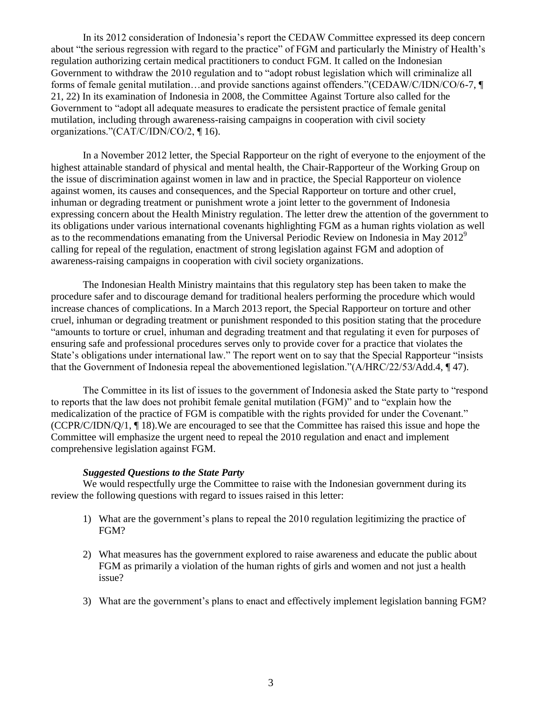In its 2012 consideration of Indonesia's report the CEDAW Committee expressed its deep concern about "the serious regression with regard to the practice" of FGM and particularly the Ministry of Health's regulation authorizing certain medical practitioners to conduct FGM. It called on the Indonesian Government to withdraw the 2010 regulation and to "adopt robust legislation which will criminalize all forms of female genital mutilation…and provide sanctions against offenders."(CEDAW/C/IDN/CO/6-7, ¶ 21, 22) In its examination of Indonesia in 2008, the Committee Against Torture also called for the Government to "adopt all adequate measures to eradicate the persistent practice of female genital mutilation, including through awareness-raising campaigns in cooperation with civil society organizations."(CAT/C/IDN/CO/2, ¶ 16).

In a November 2012 letter, the Special Rapporteur on the right of everyone to the enjoyment of the highest attainable standard of physical and mental health, the Chair-Rapporteur of the Working Group on the issue of discrimination against women in law and in practice, the Special Rapporteur on violence against women, its causes and consequences, and the Special Rapporteur on torture and other cruel, inhuman or degrading treatment or punishment wrote a joint letter to the government of Indonesia expressing concern about the Health Ministry regulation. The letter drew the attention of the government to its obligations under various international covenants highlighting FGM as a human rights violation as well as to the recommendations emanating from the Universal Periodic Review on Indonesia in May  $2012^9$ calling for repeal of the regulation, enactment of strong legislation against FGM and adoption of awareness-raising campaigns in cooperation with civil society organizations.

The Indonesian Health Ministry maintains that this regulatory step has been taken to make the procedure safer and to discourage demand for traditional healers performing the procedure which would increase chances of complications. In a March 2013 report, the Special Rapporteur on torture and other cruel, inhuman or degrading treatment or punishment responded to this position stating that the procedure "amounts to torture or cruel, inhuman and degrading treatment and that regulating it even for purposes of ensuring safe and professional procedures serves only to provide cover for a practice that violates the State's obligations under international law." The report went on to say that the Special Rapporteur "insists that the Government of Indonesia repeal the abovementioned legislation."(A/HRC/22/53/Add.4, ¶ 47).

The Committee in its list of issues to the government of Indonesia asked the State party to "respond to reports that the law does not prohibit female genital mutilation (FGM)" and to "explain how the medicalization of the practice of FGM is compatible with the rights provided for under the Covenant." (CCPR/C/IDN/Q/1, ¶ 18).We are encouraged to see that the Committee has raised this issue and hope the Committee will emphasize the urgent need to repeal the 2010 regulation and enact and implement comprehensive legislation against FGM.

## *Suggested Questions to the State Party*

We would respectfully urge the Committee to raise with the Indonesian government during its review the following questions with regard to issues raised in this letter:

- 1) What are the government's plans to repeal the 2010 regulation legitimizing the practice of FGM?
- 2) What measures has the government explored to raise awareness and educate the public about FGM as primarily a violation of the human rights of girls and women and not just a health issue?
- 3) What are the government's plans to enact and effectively implement legislation banning FGM?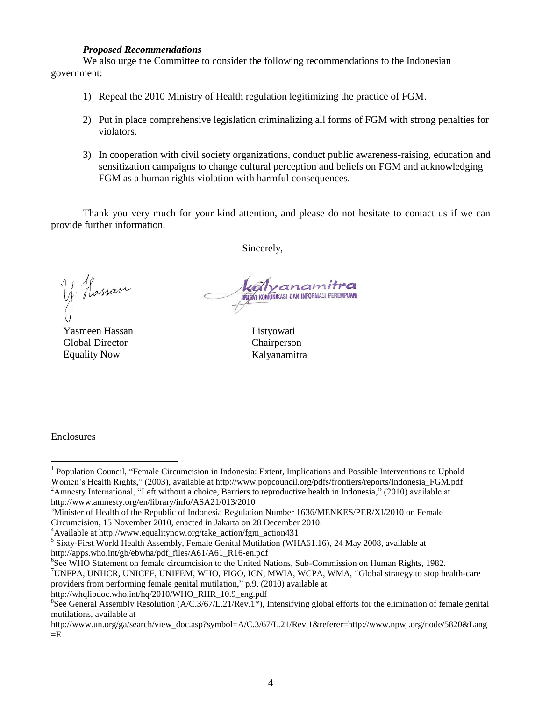## *Proposed Recommendations*

We also urge the Committee to consider the following recommendations to the Indonesian government:

- 1) Repeal the 2010 Ministry of Health regulation legitimizing the practice of FGM.
- 2) Put in place comprehensive legislation criminalizing all forms of FGM with strong penalties for violators.
- 3) In cooperation with civil society organizations, conduct public awareness-raising, education and sensitization campaigns to change cultural perception and beliefs on FGM and acknowledging FGM as a human rights violation with harmful consequences.

Thank you very much for your kind attention, and please do not hesitate to contact us if we can provide further information.

Sincerely,

y Hassan

Yasmeen Hassan Global Director Equality Now

PUSAT KOMUNIKASI DAN INFORMASI PEREMPUAN

Listyowati Chairperson Kalyanamitra

Enclosures

 $\overline{a}$ 

http://whqlibdoc.who.int/hq/2010/WHO\_RHR\_10.9\_eng.pdf

<sup>&</sup>lt;sup>1</sup> Population Council, "Female Circumcision in Indonesia: Extent, Implications and Possible Interventions to Uphold Women's Health Rights," (2003), available at http://www.popcouncil.org/pdfs/frontiers/reports/Indonesia\_FGM.pdf <sup>2</sup>Amnesty International, "Left without a choice, Barriers to reproductive health in Indonesia," (2010) available at http://www.amnesty.org/en/library/info/ASA21/013/2010

<sup>&</sup>lt;sup>3</sup>Minister of Health of the Republic of Indonesia Regulation Number 1636/MENKES/PER/XI/2010 on Female

Circumcision, 15 November 2010, enacted in Jakarta on 28 December 2010.

<sup>&</sup>lt;sup>4</sup>Available at http://www.equalitynow.org/take\_action/fgm\_action431

<sup>&</sup>lt;sup>5</sup> Sixty-First World Health Assembly, Female Genital Mutilation (WHA61.16), 24 May 2008, available at http://apps.who.int/gb/ebwha/pdf\_files/A61/A61\_R16-en.pdf

<sup>6</sup> See WHO Statement on female circumcision to the United Nations, Sub-Commission on Human Rights, 1982.

<sup>7</sup>UNFPA, UNHCR, UNICEF, UNIFEM, WHO, FIGO, ICN, MWIA, WCPA, WMA, "Global strategy to stop health-care providers from performing female genital mutilation," p.9, (2010) available at

<sup>&</sup>lt;sup>8</sup>See General Assembly Resolution (A/C.3/67/L.21/Rev.1<sup>\*</sup>), Intensifying global efforts for the elimination of female genital mutilations, available at

http://www.un.org/ga/search/view\_doc.asp?symbol=A/C.3/67/L.21/Rev.1&referer=http://www.npwj.org/node/5820&Lang  $=E$